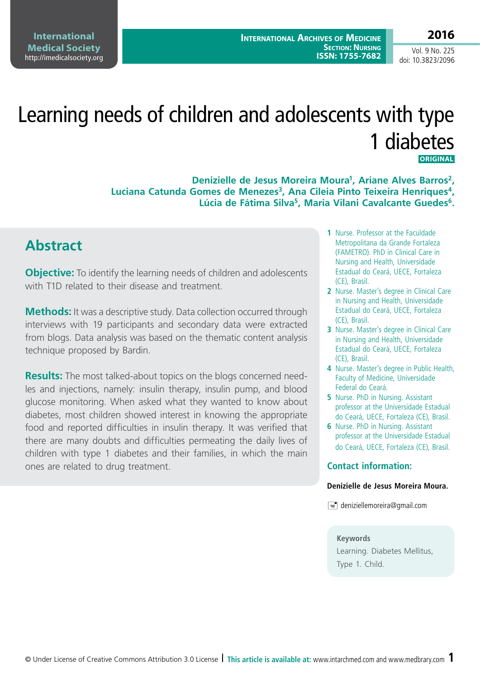# Learning needs of children and adolescents with type 1 diabetes **ORIGINAL**

**Denizielle de Jesus Moreira Moura1, Ariane Alves Barros2,**  Luciana Catunda Gomes de Menezes<sup>3</sup>, Ana Cileia Pinto Teixeira Henriques<sup>4</sup>. **Lúcia de Fátima Silva5, Maria Vilani Cavalcante Guedes6.**

### **Abstract**

**Objective:** To identify the learning needs of children and adolescents with T1D related to their disease and treatment.

**Methods:** It was a descriptive study. Data collection occurred through interviews with 19 participants and secondary data were extracted from blogs. Data analysis was based on the thematic content analysis technique proposed by Bardin.

**Results:** The most talked-about topics on the blogs concerned needles and injections, namely: insulin therapy, insulin pump, and blood glucose monitoring. When asked what they wanted to know about diabetes, most children showed interest in knowing the appropriate food and reported difficulties in insulin therapy. It was verified that there are many doubts and difficulties permeating the daily lives of children with type 1 diabetes and their families, in which the main ones are related to drug treatment.

- **1** Nurse. Professor at the Faculdade Metropolitana da Grande Fortaleza (FAMETRO). PhD in Clinical Care in Nursing and Health, Universidade Estadual do Ceará, UECE, Fortaleza (CE), Brasil.
- **2** Nurse. Master's degree in Clinical Care in Nursing and Health, Universidade Estadual do Ceará, UECE, Fortaleza (CE), Brasil.
- **3** Nurse. Master's degree in Clinical Care in Nursing and Health, Universidade Estadual do Ceará, UECE, Fortaleza (CE), Brasil.
- **4** Nurse. Master's degree in Public Health, Faculty of Medicine, Universidade Federal do Ceará.
- **5** Nurse. PhD in Nursing. Assistant professor at the Universidade Estadual do Ceará, UECE, Fortaleza (CE), Brasil.
- **6** Nurse. PhD in Nursing. Assistant professor at the Universidade Estadual do Ceará, UECE, Fortaleza (CE), Brasil.

#### **Contact information:**

#### **Denizielle de Jesus Moreira Moura.**

 $\equiv$  deniziellemoreira@gmail.com

#### **Keywords**

Learning. Diabetes Mellitus, Type 1. Child.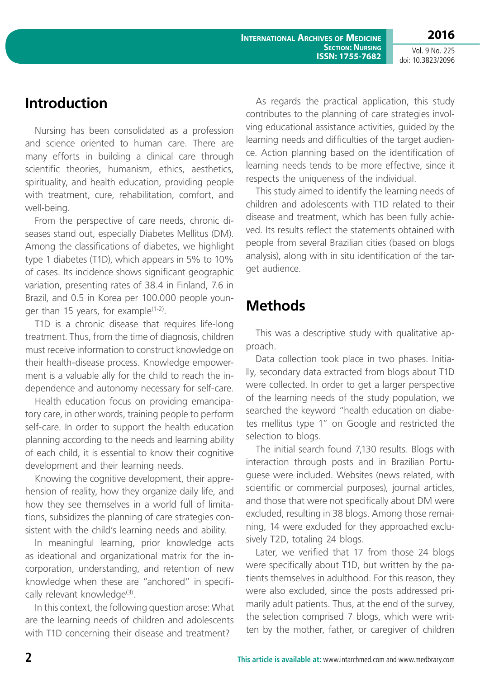doi: 10.3823/2096

## **Introduction**

Nursing has been consolidated as a profession and science oriented to human care. There are many efforts in building a clinical care through scientific theories, humanism, ethics, aesthetics, spirituality, and health education, providing people with treatment, cure, rehabilitation, comfort, and well-being.

From the perspective of care needs, chronic diseases stand out, especially Diabetes Mellitus (DM). Among the classifications of diabetes, we highlight type 1 diabetes (T1D), which appears in 5% to 10% of cases. Its incidence shows significant geographic variation, presenting rates of 38.4 in Finland, 7.6 in Brazil, and 0.5 in Korea per 100.000 people younger than 15 years, for example $(1-2)$ .

T1D is a chronic disease that requires life-long treatment. Thus, from the time of diagnosis, children must receive information to construct knowledge on their health-disease process. Knowledge empowerment is a valuable ally for the child to reach the independence and autonomy necessary for self-care.

Health education focus on providing emancipatory care, in other words, training people to perform self-care. In order to support the health education planning according to the needs and learning ability of each child, it is essential to know their cognitive development and their learning needs.

Knowing the cognitive development, their apprehension of reality, how they organize daily life, and how they see themselves in a world full of limitations, subsidizes the planning of care strategies consistent with the child's learning needs and ability.

In meaningful learning, prior knowledge acts as ideational and organizational matrix for the incorporation, understanding, and retention of new knowledge when these are "anchored" in specifically relevant knowledge<sup>(3)</sup>.

In this context, the following question arose: What are the learning needs of children and adolescents with T1D concerning their disease and treatment?

As regards the practical application, this study contributes to the planning of care strategies involving educational assistance activities, guided by the learning needs and difficulties of the target audience. Action planning based on the identification of learning needs tends to be more effective, since it respects the uniqueness of the individual.

This study aimed to identify the learning needs of children and adolescents with T1D related to their disease and treatment, which has been fully achieved. Its results reflect the statements obtained with people from several Brazilian cities (based on blogs analysis), along with in situ identification of the target audience.

# **Methods**

This was a descriptive study with qualitative approach.

Data collection took place in two phases. Initially, secondary data extracted from blogs about T1D were collected. In order to get a larger perspective of the learning needs of the study population, we searched the keyword "health education on diabetes mellitus type 1" on Google and restricted the selection to blogs.

The initial search found 7,130 results. Blogs with interaction through posts and in Brazilian Portuguese were included. Websites (news related, with scientific or commercial purposes), journal articles, and those that were not specifically about DM were excluded, resulting in 38 blogs. Among those remaining, 14 were excluded for they approached exclusively T2D, totaling 24 blogs.

Later, we verified that 17 from those 24 blogs were specifically about T1D, but written by the patients themselves in adulthood. For this reason, they were also excluded, since the posts addressed primarily adult patients. Thus, at the end of the survey, the selection comprised 7 blogs, which were written by the mother, father, or caregiver of children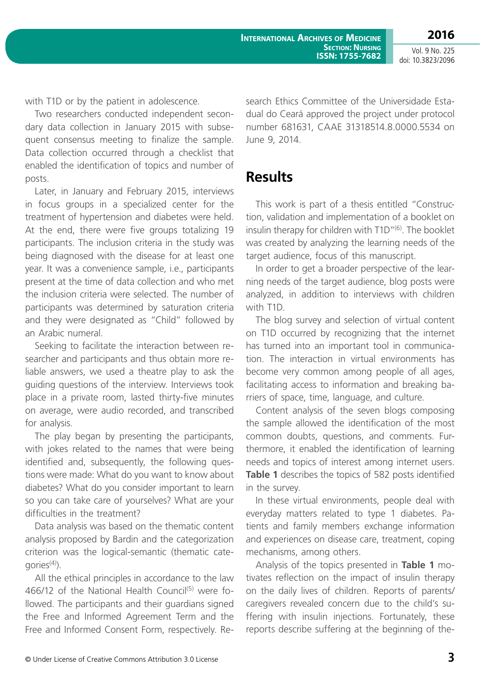**International Archives of Medicine SECTION: NURSING ISSN: 1755-7682**

Vol. 9 No. 225 doi: 10.3823/2096

with T1D or by the patient in adolescence.

Two researchers conducted independent secondary data collection in January 2015 with subsequent consensus meeting to finalize the sample. Data collection occurred through a checklist that enabled the identification of topics and number of posts.

Later, in January and February 2015, interviews in focus groups in a specialized center for the treatment of hypertension and diabetes were held. At the end, there were five groups totalizing 19 participants. The inclusion criteria in the study was being diagnosed with the disease for at least one year. It was a convenience sample, i.e., participants present at the time of data collection and who met the inclusion criteria were selected. The number of participants was determined by saturation criteria and they were designated as "Child" followed by an Arabic numeral.

Seeking to facilitate the interaction between researcher and participants and thus obtain more reliable answers, we used a theatre play to ask the guiding questions of the interview. Interviews took place in a private room, lasted thirty-five minutes on average, were audio recorded, and transcribed for analysis.

The play began by presenting the participants, with jokes related to the names that were being identified and, subsequently, the following questions were made: What do you want to know about diabetes? What do you consider important to learn so you can take care of yourselves? What are your difficulties in the treatment?

Data analysis was based on the thematic content analysis proposed by Bardin and the categorization criterion was the logical-semantic (thematic cate $qories<sup>(4)</sup>$ ).

All the ethical principles in accordance to the law 466/12 of the National Health Council<sup>(5)</sup> were followed. The participants and their guardians signed the Free and Informed Agreement Term and the Free and Informed Consent Form, respectively. Research Ethics Committee of the Universidade Estadual do Ceará approved the project under protocol number 681631, CAAE 31318514.8.0000.5534 on June 9, 2014.

### **Results**

This work is part of a thesis entitled "Construction, validation and implementation of a booklet on insulin therapy for children with T1D"<sup>(6)</sup>. The booklet was created by analyzing the learning needs of the target audience, focus of this manuscript.

In order to get a broader perspective of the learning needs of the target audience, blog posts were analyzed, in addition to interviews with children with T1D.

The blog survey and selection of virtual content on T1D occurred by recognizing that the internet has turned into an important tool in communication. The interaction in virtual environments has become very common among people of all ages, facilitating access to information and breaking barriers of space, time, language, and culture.

Content analysis of the seven blogs composing the sample allowed the identification of the most common doubts, questions, and comments. Furthermore, it enabled the identification of learning needs and topics of interest among internet users. **Table 1** describes the topics of 582 posts identified in the survey.

In these virtual environments, people deal with everyday matters related to type 1 diabetes. Patients and family members exchange information and experiences on disease care, treatment, coping mechanisms, among others.

Analysis of the topics presented in **Table 1** motivates reflection on the impact of insulin therapy on the daily lives of children. Reports of parents/ caregivers revealed concern due to the child's suffering with insulin injections. Fortunately, these reports describe suffering at the beginning of the-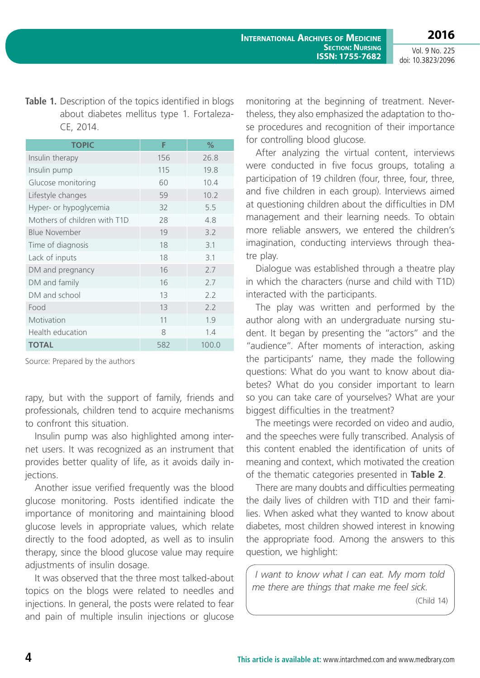#### Table 1. Description of the topics identified in blogs about diabetes mellitus type 1. Fortaleza-CE, 2014.

| <b>TOPIC</b>                 | F   | $\%$  |
|------------------------------|-----|-------|
| Insulin therapy              | 156 | 26.8  |
| Insulin pump                 | 115 | 19.8  |
| Glucose monitoring           | 60  | 10.4  |
| Lifestyle changes            | 59  | 10.2  |
| Hyper- or hypoglycemia       | 32  | 5.5   |
| Mothers of children with T1D | 28  | 4.8   |
| Blue November                | 19  | 3.2   |
| Time of diagnosis            | 18  | 3.1   |
| Lack of inputs               | 18  | 3.1   |
| DM and pregnancy             | 16  | 7.7   |
| DM and family                | 16  | 7.7   |
| DM and school                | 13  | 2.2   |
| Food                         | 13  | 2.2   |
| Motivation                   | 11  | 1.9   |
| Health education             | 8   | 1.4   |
| <b>TOTAL</b>                 | 582 | 100.0 |

Source: Prepared by the authors

rapy, but with the support of family, friends and professionals, children tend to acquire mechanisms to confront this situation.

Insulin pump was also highlighted among internet users. It was recognized as an instrument that provides better quality of life, as it avoids daily injections.

Another issue verified frequently was the blood glucose monitoring. Posts identified indicate the importance of monitoring and maintaining blood glucose levels in appropriate values, which relate directly to the food adopted, as well as to insulin therapy, since the blood glucose value may require adiustments of insulin dosage.

It was observed that the three most talked-about topics on the blogs were related to needles and injections. In general, the posts were related to fear and pain of multiple insulin injections or glucose

monitoring at the beginning of treatment. Nevertheless, they also emphasized the adaptation to those procedures and recognition of their importance for controlling blood glucose.

After analyzing the virtual content, interviews were conducted in five focus groups, totaling a participation of 19 children (four, three, four, three, and five children in each group). Interviews aimed at questioning children about the difficulties in DM management and their learning needs. To obtain more reliable answers, we entered the children's imagination, conducting interviews through theatre play.

Dialogue was established through a theatre play in which the characters (nurse and child with T1D) interacted with the participants.

The play was written and performed by the author along with an undergraduate nursing student. It began by presenting the "actors" and the "audience". After moments of interaction, asking the participants' name, they made the following questions: What do you want to know about diabetes? What do you consider important to learn so you can take care of yourselves? What are your biggest difficulties in the treatment?

The meetings were recorded on video and audio, and the speeches were fully transcribed. Analysis of this content enabled the identification of units of meaning and context, which motivated the creation of the thematic categories presented in **Table 2**.

There are many doubts and difficulties permeating the daily lives of children with T1D and their families. When asked what they wanted to know about diabetes, most children showed interest in knowing the appropriate food. Among the answers to this question, we highlight:

*I want to know what I can eat. My mom told me there are things that make me feel sick.*

(Child 14)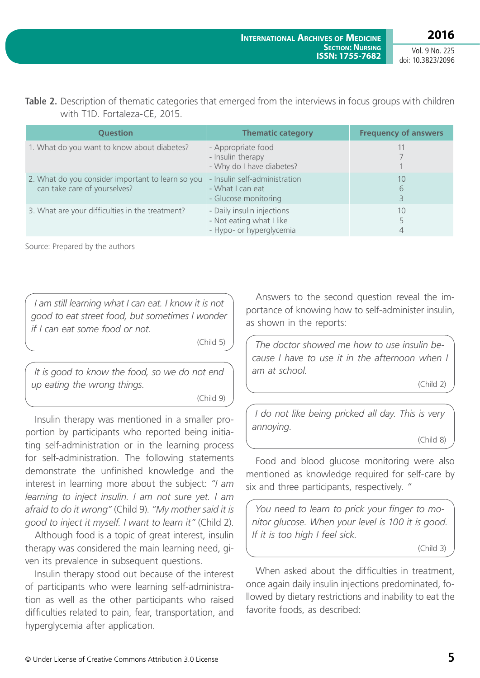**2016**

#### **Table 2.** Description of thematic categories that emerged from the interviews in focus groups with children with T1D. Fortaleza-CE, 2015.

| <b>Question</b>                                                                   | <b>Thematic category</b>                                                           | <b>Frequency of answers</b> |
|-----------------------------------------------------------------------------------|------------------------------------------------------------------------------------|-----------------------------|
| 1. What do you want to know about diabetes?                                       | - Appropriate food<br>- Insulin therapy<br>- Why do I have diabetes?               |                             |
| 2. What do you consider important to learn so you<br>can take care of yourselves? | - Insulin self-administration<br>- What I can eat<br>- Glucose monitoring          | 10<br>6<br>3                |
| 3. What are your difficulties in the treatment?                                   | - Daily insulin injections<br>- Not eating what I like<br>- Hypo- or hyperglycemia | 10<br>4                     |

Source: Prepared by the authors

*I am still learning what I can eat. I know it is not good to eat street food, but sometimes I wonder if I can eat some food or not.*

(Child 5)

*It is good to know the food, so we do not end up eating the wrong things.*

(Child 9)

Insulin therapy was mentioned in a smaller proportion by participants who reported being initiating self-administration or in the learning process for self-administration. The following statements demonstrate the unfinished knowledge and the interest in learning more about the subject: *"I am learning to inject insulin. I am not sure yet. I am afraid to do it wrong"* (Child 9). *"My mother said it is good to inject it myself. I want to learn it"* (Child 2).

Although food is a topic of great interest, insulin therapy was considered the main learning need, given its prevalence in subsequent questions.

Insulin therapy stood out because of the interest of participants who were learning self-administration as well as the other participants who raised difficulties related to pain, fear, transportation, and hyperglycemia after application.

Answers to the second question reveal the importance of knowing how to self-administer insulin, as shown in the reports:

*The doctor showed me how to use insulin because I have to use it in the afternoon when I am at school.*

(Child 2)

*I do not like being pricked all day. This is very annoying.*

(Child 8)

Food and blood glucose monitoring were also mentioned as knowledge required for self-care by six and three participants, respectively. *"*

*You need to learn to prick your finger to monitor glucose. When your level is 100 it is good. If it is too high I feel sick.*

(Child 3)

When asked about the difficulties in treatment, once again daily insulin injections predominated, followed by dietary restrictions and inability to eat the favorite foods, as described: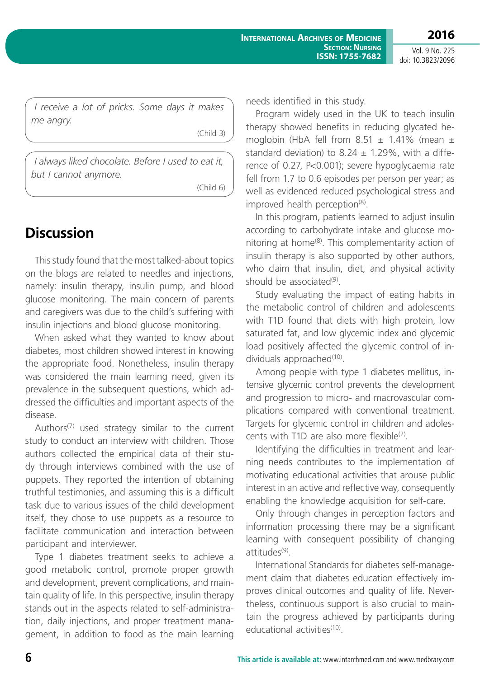**2016**

*I receive a lot of pricks. Some days it makes me angry.*

(Child 3)

*I always liked chocolate. Before I used to eat it, but I cannot anymore.*

(Child 6)

### **Discussion**

This study found that the most talked-about topics on the blogs are related to needles and injections, namely: insulin therapy, insulin pump, and blood glucose monitoring. The main concern of parents and caregivers was due to the child's suffering with insulin injections and blood glucose monitoring.

When asked what they wanted to know about diabetes, most children showed interest in knowing the appropriate food. Nonetheless, insulin therapy was considered the main learning need, given its prevalence in the subsequent questions, which addressed the difficulties and important aspects of the disease.

Authors<sup> $(7)$ </sup> used strategy similar to the current study to conduct an interview with children. Those authors collected the empirical data of their study through interviews combined with the use of puppets. They reported the intention of obtaining truthful testimonies, and assuming this is a difficult task due to various issues of the child development itself, they chose to use puppets as a resource to facilitate communication and interaction between participant and interviewer.

Type 1 diabetes treatment seeks to achieve a good metabolic control, promote proper growth and development, prevent complications, and maintain quality of life. In this perspective, insulin therapy stands out in the aspects related to self-administration, daily injections, and proper treatment management, in addition to food as the main learning needs identified in this study.

Program widely used in the UK to teach insulin therapy showed benefits in reducing glycated hemoglobin (HbA fell from  $8.51 \pm 1.41\%$  (mean  $\pm$ standard deviation) to 8.24  $\pm$  1.29%, with a difference of 0.27, P<0.001); severe hypoglycaemia rate fell from 1.7 to 0.6 episodes per person per year; as well as evidenced reduced psychological stress and improved health perception<sup>(8)</sup>.

In this program, patients learned to adjust insulin according to carbohydrate intake and glucose monitoring at home(8). This complementarity action of insulin therapy is also supported by other authors, who claim that insulin, diet, and physical activity should be associated<sup>(9)</sup>.

Study evaluating the impact of eating habits in the metabolic control of children and adolescents with T1D found that diets with high protein, low saturated fat, and low glycemic index and glycemic load positively affected the glycemic control of individuals approached $(10)$ .

Among people with type 1 diabetes mellitus, intensive glycemic control prevents the development and progression to micro- and macrovascular complications compared with conventional treatment. Targets for glycemic control in children and adolescents with T1D are also more flexible $(2)$ .

Identifying the difficulties in treatment and learning needs contributes to the implementation of motivating educational activities that arouse public interest in an active and reflective way, consequently enabling the knowledge acquisition for self-care.

Only through changes in perception factors and information processing there may be a significant learning with consequent possibility of changing attitudes(9).

International Standards for diabetes self-management claim that diabetes education effectively improves clinical outcomes and quality of life. Nevertheless, continuous support is also crucial to maintain the progress achieved by participants during educational activities<sup>(10)</sup>.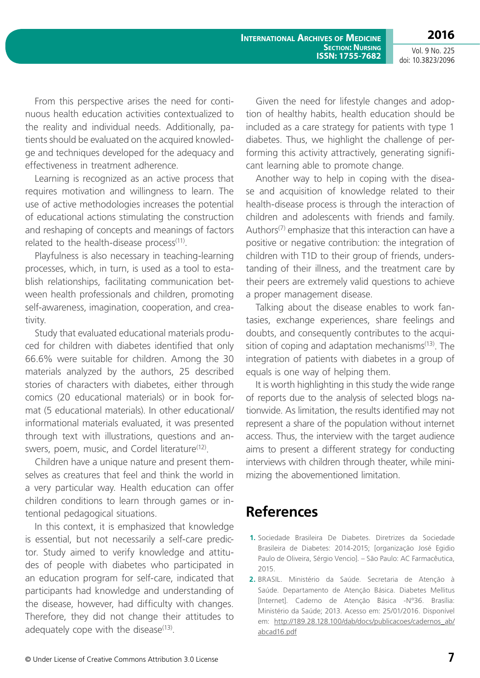**2016** Vol. 9 No. 225

doi: 10.3823/2096

From this perspective arises the need for continuous health education activities contextualized to the reality and individual needs. Additionally, patients should be evaluated on the acquired knowledge and techniques developed for the adequacy and effectiveness in treatment adherence.

Learning is recognized as an active process that requires motivation and willingness to learn. The use of active methodologies increases the potential of educational actions stimulating the construction and reshaping of concepts and meanings of factors related to the health-disease process $(11)$ .

Playfulness is also necessary in teaching-learning processes, which, in turn, is used as a tool to establish relationships, facilitating communication between health professionals and children, promoting self-awareness, imagination, cooperation, and creativity.

Study that evaluated educational materials produced for children with diabetes identified that only 66.6% were suitable for children. Among the 30 materials analyzed by the authors, 25 described stories of characters with diabetes, either through comics (20 educational materials) or in book format (5 educational materials). In other educational/ informational materials evaluated, it was presented through text with illustrations, questions and answers, poem, music, and Cordel literature<sup>(12)</sup>.

Children have a unique nature and present themselves as creatures that feel and think the world in a very particular way. Health education can offer children conditions to learn through games or intentional pedagogical situations.

In this context, it is emphasized that knowledge is essential, but not necessarily a self-care predictor. Study aimed to verify knowledge and attitudes of people with diabetes who participated in an education program for self-care, indicated that participants had knowledge and understanding of the disease, however, had difficulty with changes. Therefore, they did not change their attitudes to adequately cope with the disease $(13)$ .

Given the need for lifestyle changes and adoption of healthy habits, health education should be included as a care strategy for patients with type 1 diabetes. Thus, we highlight the challenge of performing this activity attractively, generating significant learning able to promote change.

Another way to help in coping with the disease and acquisition of knowledge related to their health-disease process is through the interaction of children and adolescents with friends and family. Authors<sup>(7)</sup> emphasize that this interaction can have a positive or negative contribution: the integration of children with T1D to their group of friends, understanding of their illness, and the treatment care by their peers are extremely valid questions to achieve a proper management disease.

Talking about the disease enables to work fantasies, exchange experiences, share feelings and doubts, and consequently contributes to the acquisition of coping and adaptation mechanisms $(13)$ . The integration of patients with diabetes in a group of equals is one way of helping them.

It is worth highlighting in this study the wide range of reports due to the analysis of selected blogs nationwide. As limitation, the results identified may not represent a share of the population without internet access. Thus, the interview with the target audience aims to present a different strategy for conducting interviews with children through theater, while minimizing the abovementioned limitation.

## **References**

- **1.** Sociedade Brasileira De Diabetes. Diretrizes da Sociedade Brasileira de Diabetes: 2014-2015; [organização José Egidio Paulo de Oliveira, Sérgio Vencio]. – São Paulo: AC Farmacêutica, 2015.
- **2.** BRASIL. Ministério da Saúde. Secretaria de Atenção à Saúde. Departamento de Atenção Básica. Diabetes Mellitus [Internet]. Caderno de Atenção Básica -Nº36. Brasília: Ministério da Saúde; 2013. Acesso em: 25/01/2016. Disponível em: [http://189.28.128.100/dab/docs/publicacoes/cadernos\\_ab/](http://189.28.128.100/dab/docs/publicacoes/cadernos_ab/abcad16.pdf) [abcad16.pdf](http://189.28.128.100/dab/docs/publicacoes/cadernos_ab/abcad16.pdf)